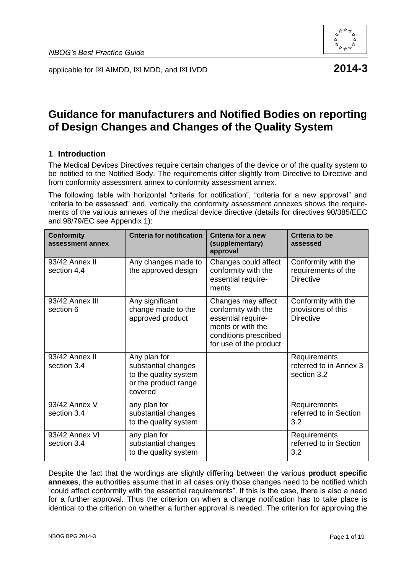

applicable for  $\boxtimes$  AIMDD,  $\boxtimes$  MDD, and  $\boxtimes$  IVDD **2014-3** 

# **Guidance for manufacturers and Notified Bodies on reporting of Design Changes and Changes of the Quality System**

# **1 Introduction**

The Medical Devices Directives require certain changes of the device or of the quality system to be notified to the Notified Body. The requirements differ slightly from Directive to Directive and from conformity assessment annex to conformity assessment annex.

The following table with horizontal "criteria for notification", "criteria for a new approval" and "criteria to be assessed" and, vertically the conformity assessment annexes shows the requirements of the various annexes of the medical device directive (details for directives 90/385/EEC and 98/79/EC see Appendix 1):

| <b>Conformity</b><br>assessment annex | <b>Criteria for notification</b>                                                                | Criteria for a new<br>(supplementary)<br>approval                                                                                       | <b>Criteria to be</b><br>assessed                              |
|---------------------------------------|-------------------------------------------------------------------------------------------------|-----------------------------------------------------------------------------------------------------------------------------------------|----------------------------------------------------------------|
| 93/42 Annex II<br>section 4.4         | Any changes made to<br>the approved design                                                      | Changes could affect<br>conformity with the<br>essential require-<br>ments                                                              | Conformity with the<br>requirements of the<br><b>Directive</b> |
| 93/42 Annex III<br>section 6          | Any significant<br>change made to the<br>approved product                                       | Changes may affect<br>conformity with the<br>essential require-<br>ments or with the<br>conditions prescribed<br>for use of the product | Conformity with the<br>provisions of this<br><b>Directive</b>  |
| 93/42 Annex II<br>section 3.4         | Any plan for<br>substantial changes<br>to the quality system<br>or the product range<br>covered |                                                                                                                                         | Requirements<br>referred to in Annex 3<br>section 3.2          |
| 93/42 Annex V<br>section 3.4          | any plan for<br>substantial changes<br>to the quality system                                    |                                                                                                                                         | Requirements<br>referred to in Section<br>3.2                  |
| 93/42 Annex VI<br>section 3.4         | any plan for<br>substantial changes<br>to the quality system                                    |                                                                                                                                         | Requirements<br>referred to in Section<br>3.2                  |

Despite the fact that the wordings are slightly differing between the various **product specific annexes**, the authorities assume that in all cases only those changes need to be notified which "could affect conformity with the essential requirements". If this is the case, there is also a need for a further approval. Thus the criterion on when a change notification has to take place is identical to the criterion on whether a further approval is needed. The criterion for approving the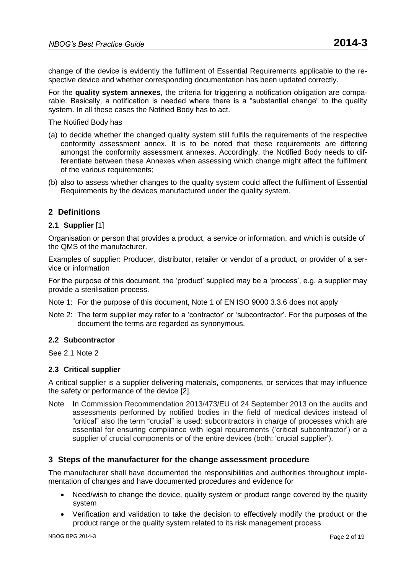change of the device is evidently the fulfilment of Essential Requirements applicable to the respective device and whether corresponding documentation has been updated correctly.

For the **quality system annexes**, the criteria for triggering a notification obligation are comparable. Basically, a notification is needed where there is a "substantial change" to the quality system. In all these cases the Notified Body has to act.

The Notified Body has

- (a) to decide whether the changed quality system still fulfils the requirements of the respective conformity assessment annex. It is to be noted that these requirements are differing amongst the conformity assessment annexes. Accordingly, the Notified Body needs to differentiate between these Annexes when assessing which change might affect the fulfilment of the various requirements;
- (b) also to assess whether changes to the quality system could affect the fulfilment of Essential Requirements by the devices manufactured under the quality system.

# **2 Definitions**

# **2.1 Supplier** [1]

Organisation or person that provides a product, a service or information, and which is outside of the QMS of the manufacturer.

Examples of supplier: Producer, distributor, retailer or vendor of a product, or provider of a service or information

For the purpose of this document, the 'product' supplied may be a 'process', e.g. a supplier may provide a sterilisation process.

- Note 1: For the purpose of this document, Note 1 of EN ISO 9000 3.3.6 does not apply
- Note 2: The term supplier may refer to a 'contractor' or 'subcontractor'. For the purposes of the document the terms are regarded as synonymous.

### **2.2 Subcontractor**

See 2.1 Note 2

### **2.3 Critical supplier**

A critical supplier is a supplier delivering materials, components, or services that may influence the safety or performance of the device [2].

Note In Commission Recommendation 2013/473/EU of 24 September 2013 on the audits and assessments performed by notified bodies in the field of medical devices instead of "critical" also the term "crucial" is used: subcontractors in charge of processes which are essential for ensuring compliance with legal requirements ('critical subcontractor') or a supplier of crucial components or of the entire devices (both: 'crucial supplier').

# **3 Steps of the manufacturer for the change assessment procedure**

The manufacturer shall have documented the responsibilities and authorities throughout implementation of changes and have documented procedures and evidence for

- Need/wish to change the device, quality system or product range covered by the quality system
- Verification and validation to take the decision to effectively modify the product or the product range or the quality system related to its risk management process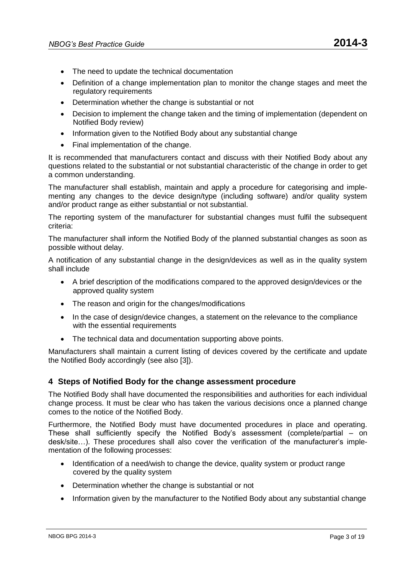- The need to update the technical documentation
- Definition of a change implementation plan to monitor the change stages and meet the regulatory requirements
- Determination whether the change is substantial or not
- Decision to implement the change taken and the timing of implementation (dependent on Notified Body review)
- Information given to the Notified Body about any substantial change
- Final implementation of the change.

It is recommended that manufacturers contact and discuss with their Notified Body about any questions related to the substantial or not substantial characteristic of the change in order to get a common understanding.

The manufacturer shall establish, maintain and apply a procedure for categorising and implementing any changes to the device design/type (including software) and/or quality system and/or product range as either substantial or not substantial.

The reporting system of the manufacturer for substantial changes must fulfil the subsequent criteria:

The manufacturer shall inform the Notified Body of the planned substantial changes as soon as possible without delay.

A notification of any substantial change in the design/devices as well as in the quality system shall include

- A brief description of the modifications compared to the approved design/devices or the approved quality system
- The reason and origin for the changes/modifications
- In the case of design/device changes, a statement on the relevance to the compliance with the essential requirements
- The technical data and documentation supporting above points.

Manufacturers shall maintain a current listing of devices covered by the certificate and update the Notified Body accordingly (see also [3]).

# **4 Steps of Notified Body for the change assessment procedure**

The Notified Body shall have documented the responsibilities and authorities for each individual change process. It must be clear who has taken the various decisions once a planned change comes to the notice of the Notified Body.

Furthermore, the Notified Body must have documented procedures in place and operating. These shall sufficiently specify the Notified Body's assessment (complete/partial – on desk/site…). These procedures shall also cover the verification of the manufacturer's implementation of the following processes:

- Identification of a need/wish to change the device, quality system or product range covered by the quality system
- Determination whether the change is substantial or not
- Information given by the manufacturer to the Notified Body about any substantial change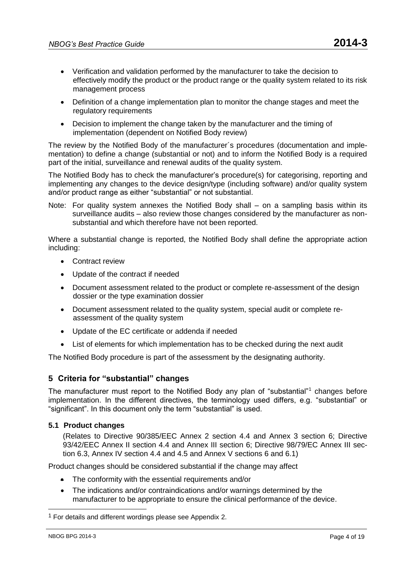- Verification and validation performed by the manufacturer to take the decision to effectively modify the product or the product range or the quality system related to its risk management process
- Definition of a change implementation plan to monitor the change stages and meet the regulatory requirements
- Decision to implement the change taken by the manufacturer and the timing of implementation (dependent on Notified Body review)

The review by the Notified Body of the manufacturer´s procedures (documentation and implementation) to define a change (substantial or not) and to inform the Notified Body is a required part of the initial, surveillance and renewal audits of the quality system.

The Notified Body has to check the manufacturer's procedure(s) for categorising, reporting and implementing any changes to the device design/type (including software) and/or quality system and/or product range as either "substantial" or not substantial.

Note: For quality system annexes the Notified Body shall – on a sampling basis within its surveillance audits – also review those changes considered by the manufacturer as nonsubstantial and which therefore have not been reported.

Where a substantial change is reported, the Notified Body shall define the appropriate action including:

- **•** Contract review
- Update of the contract if needed
- Document assessment related to the product or complete re-assessment of the design dossier or the type examination dossier
- Document assessment related to the quality system, special audit or complete reassessment of the quality system
- Update of the EC certificate or addenda if needed
- List of elements for which implementation has to be checked during the next audit

The Notified Body procedure is part of the assessment by the designating authority.

# **5 Criteria for "substantial" changes**

The manufacturer must report to the Notified Body any plan of "substantial"<sup>1</sup> changes before implementation. In the different directives, the terminology used differs, e.g. "substantial" or "significant". In this document only the term "substantial" is used.

# **5.1 Product changes**

(Relates to Directive 90/385/EEC Annex 2 section 4.4 and Annex 3 section 6; Directive 93/42/EEC Annex II section 4.4 and Annex III section 6; Directive 98/79/EC Annex III section 6.3, Annex IV section 4.4 and 4.5 and Annex V sections 6 and 6.1)

Product changes should be considered substantial if the change may affect

- The conformity with the essential requirements and/or
- The indications and/or contraindications and/or warnings determined by the manufacturer to be appropriate to ensure the clinical performance of the device.

 $\overline{a}$ 

<sup>&</sup>lt;sup>1</sup> For details and different wordings please see Appendix 2.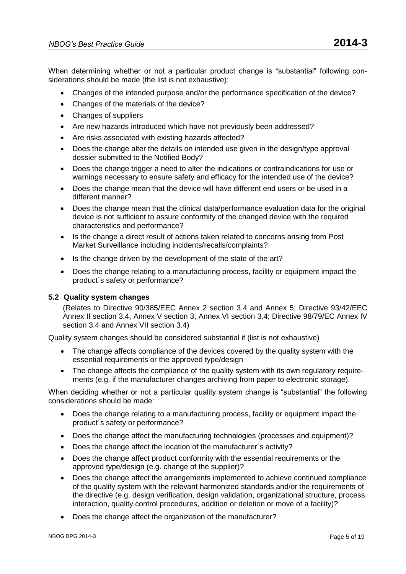When determining whether or not a particular product change is "substantial" following considerations should be made (the list is not exhaustive):

- Changes of the intended purpose and/or the performance specification of the device?
- Changes of the materials of the device?
- Changes of suppliers
- Are new hazards introduced which have not previously been addressed?
- Are risks associated with existing hazards affected?
- Does the change alter the details on intended use given in the design/type approval dossier submitted to the Notified Body?
- Does the change trigger a need to alter the indications or contraindications for use or warnings necessary to ensure safety and efficacy for the intended use of the device?
- Does the change mean that the device will have different end users or be used in a different manner?
- Does the change mean that the clinical data/performance evaluation data for the original device is not sufficient to assure conformity of the changed device with the required characteristics and performance?
- Is the change a direct result of actions taken related to concerns arising from Post Market Surveillance including incidents/recalls/complaints?
- Is the change driven by the development of the state of the art?
- Does the change relating to a manufacturing process, facility or equipment impact the product´s safety or performance?

# **5.2 Quality system changes**

(Relates to Directive 90/385/EEC Annex 2 section 3.4 and Annex 5; Directive 93/42/EEC Annex II section 3.4, Annex V section 3, Annex VI section 3.4; Directive 98/79/EC Annex IV section 3.4 and Annex VII section 3.4)

Quality system changes should be considered substantial if (list is not exhaustive)

- The change affects compliance of the devices covered by the quality system with the essential requirements or the approved type/design
- The change affects the compliance of the quality system with its own requiatory requirements (e.g. if the manufacturer changes archiving from paper to electronic storage).

When deciding whether or not a particular quality system change is "substantial" the following considerations should be made:

- Does the change relating to a manufacturing process, facility or equipment impact the product´s safety or performance?
- Does the change affect the manufacturing technologies (processes and equipment)?
- Does the change affect the location of the manufacturer´s activity?
- Does the change affect product conformity with the essential requirements or the approved type/design (e.g. change of the supplier)?
- Does the change affect the arrangements implemented to achieve continued compliance of the quality system with the relevant harmonized standards and/or the requirements of the directive (e.g. design verification, design validation, organizational structure, process interaction, quality control procedures, addition or deletion or move of a facility)?
- Does the change affect the organization of the manufacturer?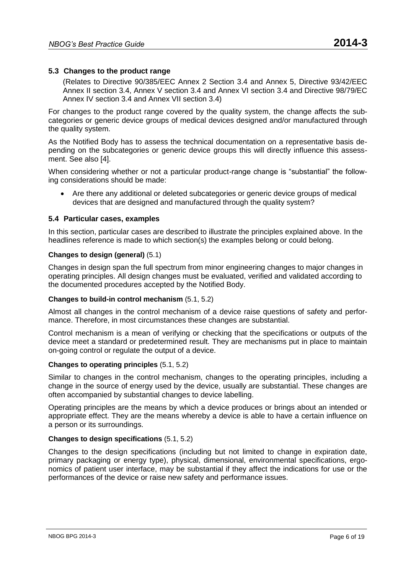# **5.3 Changes to the product range**

(Relates to Directive 90/385/EEC Annex 2 Section 3.4 and Annex 5, Directive 93/42/EEC Annex II section 3.4, Annex V section 3.4 and Annex VI section 3.4 and Directive 98/79/EC Annex IV section 3.4 and Annex VII section 3.4)

For changes to the product range covered by the quality system, the change affects the subcategories or generic device groups of medical devices designed and/or manufactured through the quality system.

As the Notified Body has to assess the technical documentation on a representative basis depending on the subcategories or generic device groups this will directly influence this assessment. See also [4].

When considering whether or not a particular product-range change is "substantial" the following considerations should be made:

 Are there any additional or deleted subcategories or generic device groups of medical devices that are designed and manufactured through the quality system?

### **5.4 Particular cases, examples**

In this section, particular cases are described to illustrate the principles explained above. In the headlines reference is made to which section(s) the examples belong or could belong.

### **Changes to design (general)** (5.1)

Changes in design span the full spectrum from minor engineering changes to major changes in operating principles. All design changes must be evaluated, verified and validated according to the documented procedures accepted by the Notified Body.

### **Changes to build-in control mechanism** (5.1, 5.2)

Almost all changes in the control mechanism of a device raise questions of safety and performance. Therefore, in most circumstances these changes are substantial.

Control mechanism is a mean of verifying or checking that the specifications or outputs of the device meet a standard or predetermined result. They are mechanisms put in place to maintain on-going control or regulate the output of a device.

### **Changes to operating principles** (5.1, 5.2)

Similar to changes in the control mechanism, changes to the operating principles, including a change in the source of energy used by the device, usually are substantial. These changes are often accompanied by substantial changes to device labelling.

Operating principles are the means by which a device produces or brings about an intended or appropriate effect. They are the means whereby a device is able to have a certain influence on a person or its surroundings.

# **Changes to design specifications** (5.1, 5.2)

Changes to the design specifications (including but not limited to change in expiration date, primary packaging or energy type), physical, dimensional, environmental specifications, ergonomics of patient user interface, may be substantial if they affect the indications for use or the performances of the device or raise new safety and performance issues.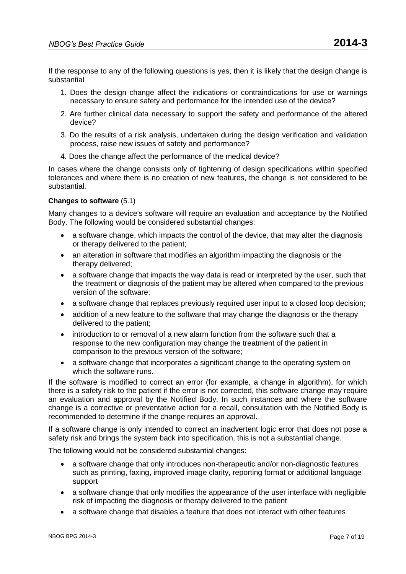If the response to any of the following questions is yes, then it is likely that the design change is substantial

- 1. Does the design change affect the indications or contraindications for use or warnings necessary to ensure safety and performance for the intended use of the device?
- 2. Are further clinical data necessary to support the safety and performance of the altered device?
- 3. Do the results of a risk analysis, undertaken during the design verification and validation process, raise new issues of safety and performance?
- 4. Does the change affect the performance of the medical device?

In cases where the change consists only of tightening of design specifications within specified tolerances and where there is no creation of new features, the change is not considered to be substantial.

# **Changes to software** (5.1)

Many changes to a device's software will require an evaluation and acceptance by the Notified Body. The following would be considered substantial changes:

- a software change, which impacts the control of the device, that may alter the diagnosis or therapy delivered to the patient;
- an alteration in software that modifies an algorithm impacting the diagnosis or the therapy delivered;
- a software change that impacts the way data is read or interpreted by the user, such that the treatment or diagnosis of the patient may be altered when compared to the previous version of the software;
- a software change that replaces previously required user input to a closed loop decision;
- addition of a new feature to the software that may change the diagnosis or the therapy delivered to the patient;
- introduction to or removal of a new alarm function from the software such that a response to the new configuration may change the treatment of the patient in comparison to the previous version of the software;
- a software change that incorporates a significant change to the operating system on which the software runs.

If the software is modified to correct an error (for example, a change in algorithm), for which there is a safety risk to the patient if the error is not corrected, this software change may require an evaluation and approval by the Notified Body. In such instances and where the software change is a corrective or preventative action for a recall, consultation with the Notified Body is recommended to determine if the change requires an approval.

If a software change is only intended to correct an inadvertent logic error that does not pose a safety risk and brings the system back into specification, this is not a substantial change.

The following would not be considered substantial changes:

- a software change that only introduces non-therapeutic and/or non-diagnostic features such as printing, faxing, improved image clarity, reporting format or additional language support
- a software change that only modifies the appearance of the user interface with negligible risk of impacting the diagnosis or therapy delivered to the patient
- a software change that disables a feature that does not interact with other features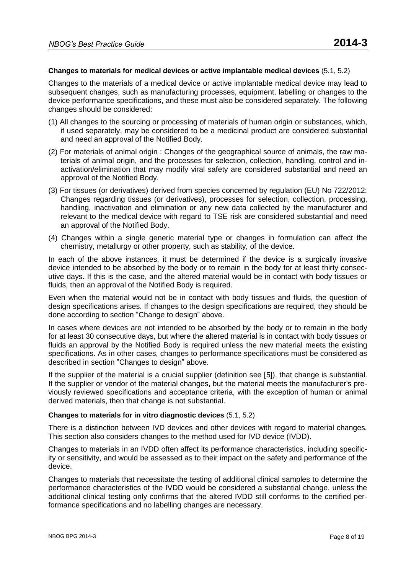### **Changes to materials for medical devices or active implantable medical devices** (5.1, 5.2)

Changes to the materials of a medical device or active implantable medical device may lead to subsequent changes, such as manufacturing processes, equipment, labelling or changes to the device performance specifications, and these must also be considered separately. The following changes should be considered:

- (1) All changes to the sourcing or processing of materials of human origin or substances, which, if used separately, may be considered to be a medicinal product are considered substantial and need an approval of the Notified Body.
- (2) For materials of animal origin : Changes of the geographical source of animals, the raw materials of animal origin, and the processes for selection, collection, handling, control and inactivation/elimination that may modify viral safety are considered substantial and need an approval of the Notified Body.
- (3) For tissues (or derivatives) derived from species concerned by regulation (EU) No 722/2012: Changes regarding tissues (or derivatives), processes for selection, collection, processing, handling, inactivation and elimination or any new data collected by the manufacturer and relevant to the medical device with regard to TSE risk are considered substantial and need an approval of the Notified Body.
- (4) Changes within a single generic material type or changes in formulation can affect the chemistry, metallurgy or other property, such as stability, of the device.

In each of the above instances, it must be determined if the device is a surgically invasive device intended to be absorbed by the body or to remain in the body for at least thirty consecutive days. If this is the case, and the altered material would be in contact with body tissues or fluids, then an approval of the Notified Body is required.

Even when the material would not be in contact with body tissues and fluids, the question of design specifications arises. If changes to the design specifications are required, they should be done according to section "Change to design" above.

In cases where devices are not intended to be absorbed by the body or to remain in the body for at least 30 consecutive days, but where the altered material is in contact with body tissues or fluids an approval by the Notified Body is required unless the new material meets the existing specifications. As in other cases, changes to performance specifications must be considered as described in section "Changes to design" above.

If the supplier of the material is a crucial supplier (definition see [5]), that change is substantial. If the supplier or vendor of the material changes, but the material meets the manufacturer's previously reviewed specifications and acceptance criteria, with the exception of human or animal derived materials, then that change is not substantial.

### **Changes to materials for in vitro diagnostic devices** (5.1, 5.2)

There is a distinction between IVD devices and other devices with regard to material changes. This section also considers changes to the method used for IVD device (IVDD).

Changes to materials in an IVDD often affect its performance characteristics, including specificity or sensitivity, and would be assessed as to their impact on the safety and performance of the device.

Changes to materials that necessitate the testing of additional clinical samples to determine the performance characteristics of the IVDD would be considered a substantial change, unless the additional clinical testing only confirms that the altered IVDD still conforms to the certified performance specifications and no labelling changes are necessary.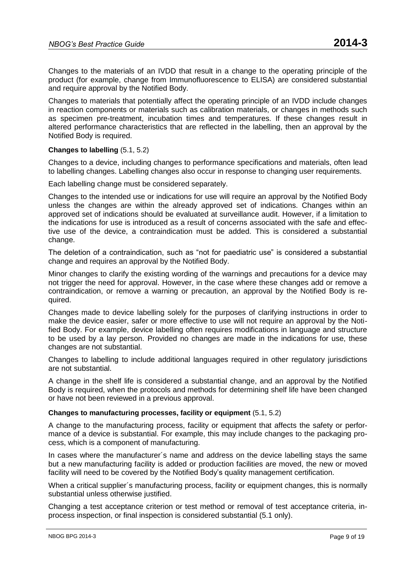Changes to the materials of an IVDD that result in a change to the operating principle of the product (for example, change from Immunofluorescence to ELISA) are considered substantial and require approval by the Notified Body.

Changes to materials that potentially affect the operating principle of an IVDD include changes in reaction components or materials such as calibration materials, or changes in methods such as specimen pre-treatment, incubation times and temperatures. If these changes result in altered performance characteristics that are reflected in the labelling, then an approval by the Notified Body is required.

# **Changes to labelling** (5.1, 5.2)

Changes to a device, including changes to performance specifications and materials, often lead to labelling changes. Labelling changes also occur in response to changing user requirements.

Each labelling change must be considered separately.

Changes to the intended use or indications for use will require an approval by the Notified Body unless the changes are within the already approved set of indications. Changes within an approved set of indications should be evaluated at surveillance audit. However, if a limitation to the indications for use is introduced as a result of concerns associated with the safe and effective use of the device, a contraindication must be added. This is considered a substantial change.

The deletion of a contraindication, such as "not for paediatric use" is considered a substantial change and requires an approval by the Notified Body.

Minor changes to clarify the existing wording of the warnings and precautions for a device may not trigger the need for approval. However, in the case where these changes add or remove a contraindication, or remove a warning or precaution, an approval by the Notified Body is required.

Changes made to device labelling solely for the purposes of clarifying instructions in order to make the device easier, safer or more effective to use will not require an approval by the Notified Body. For example, device labelling often requires modifications in language and structure to be used by a lay person. Provided no changes are made in the indications for use, these changes are not substantial.

Changes to labelling to include additional languages required in other regulatory jurisdictions are not substantial.

A change in the shelf life is considered a substantial change, and an approval by the Notified Body is required, when the protocols and methods for determining shelf life have been changed or have not been reviewed in a previous approval.

# **Changes to manufacturing processes, facility or equipment** (5.1, 5.2)

A change to the manufacturing process, facility or equipment that affects the safety or performance of a device is substantial. For example, this may include changes to the packaging process, which is a component of manufacturing.

In cases where the manufacturer´s name and address on the device labelling stays the same but a new manufacturing facility is added or production facilities are moved, the new or moved facility will need to be covered by the Notified Body's quality management certification.

When a critical supplier´s manufacturing process, facility or equipment changes, this is normally substantial unless otherwise justified.

Changing a test acceptance criterion or test method or removal of test acceptance criteria, inprocess inspection, or final inspection is considered substantial (5.1 only).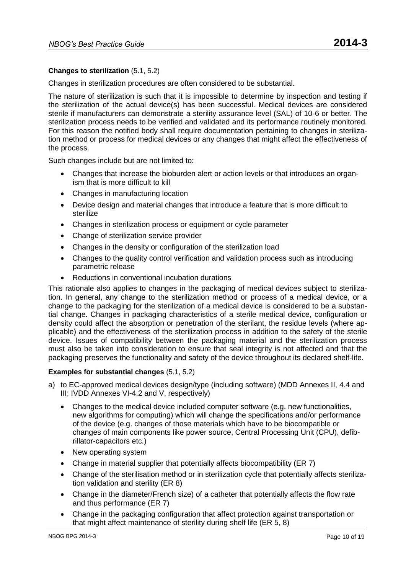# **Changes to sterilization** (5.1, 5.2)

Changes in sterilization procedures are often considered to be substantial.

The nature of sterilization is such that it is impossible to determine by inspection and testing if the sterilization of the actual device(s) has been successful. Medical devices are considered sterile if manufacturers can demonstrate a sterility assurance level (SAL) of 10-6 or better. The sterilization process needs to be verified and validated and its performance routinely monitored. For this reason the notified body shall require documentation pertaining to changes in sterilization method or process for medical devices or any changes that might affect the effectiveness of the process.

Such changes include but are not limited to:

- Changes that increase the bioburden alert or action levels or that introduces an organism that is more difficult to kill
- Changes in manufacturing location
- Device design and material changes that introduce a feature that is more difficult to sterilize
- Changes in sterilization process or equipment or cycle parameter
- Change of sterilization service provider
- Changes in the density or configuration of the sterilization load
- Changes to the quality control verification and validation process such as introducing parametric release
- Reductions in conventional incubation durations

This rationale also applies to changes in the packaging of medical devices subject to sterilization. In general, any change to the sterilization method or process of a medical device, or a change to the packaging for the sterilization of a medical device is considered to be a substantial change. Changes in packaging characteristics of a sterile medical device, configuration or density could affect the absorption or penetration of the sterilant, the residue levels (where applicable) and the effectiveness of the sterilization process in addition to the safety of the sterile device. Issues of compatibility between the packaging material and the sterilization process must also be taken into consideration to ensure that seal integrity is not affected and that the packaging preserves the functionality and safety of the device throughout its declared shelf-life.

### **Examples for substantial changes** (5.1, 5.2)

- a) to EC-approved medical devices design/type (including software) (MDD Annexes II, 4.4 and III; IVDD Annexes VI-4.2 and V, respectively)
	- Changes to the medical device included computer software (e.g. new functionalities, new algorithms for computing) which will change the specifications and/or performance of the device (e.g. changes of those materials which have to be biocompatible or changes of main components like power source, Central Processing Unit (CPU), defibrillator-capacitors etc.)
	- New operating system
	- Change in material supplier that potentially affects biocompatibility (ER 7)
	- Change of the sterilisation method or in sterilization cycle that potentially affects sterilization validation and sterility (ER 8)
	- Change in the diameter/French size) of a catheter that potentially affects the flow rate and thus performance (ER 7)
	- Change in the packaging configuration that affect protection against transportation or that might affect maintenance of sterility during shelf life (ER 5, 8)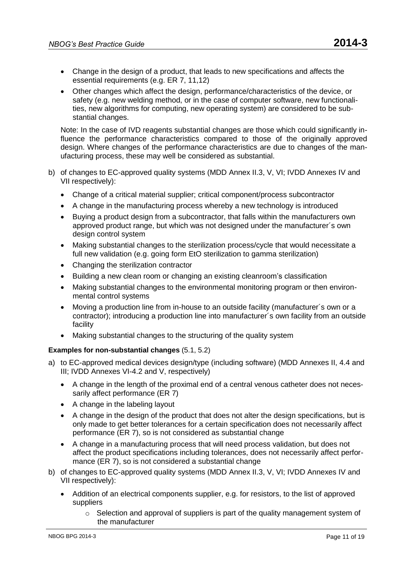- Change in the design of a product, that leads to new specifications and affects the essential requirements (e.g. ER 7, 11,12)
- Other changes which affect the design, performance/characteristics of the device, or safety (e.g. new welding method, or in the case of computer software, new functionalities, new algorithms for computing, new operating system) are considered to be substantial changes.

Note: In the case of IVD reagents substantial changes are those which could significantly influence the performance characteristics compared to those of the originally approved design. Where changes of the performance characteristics are due to changes of the manufacturing process, these may well be considered as substantial.

- b) of changes to EC-approved quality systems (MDD Annex II.3, V, VI; IVDD Annexes IV and VII respectively):
	- Change of a critical material supplier; critical component/process subcontractor
	- A change in the manufacturing process whereby a new technology is introduced
	- Buying a product design from a subcontractor, that falls within the manufacturers own approved product range, but which was not designed under the manufacturer´s own design control system
	- Making substantial changes to the sterilization process/cycle that would necessitate a full new validation (e.g. going form EtO sterilization to gamma sterilization)
	- Changing the sterilization contractor
	- Building a new clean room or changing an existing cleanroom's classification
	- Making substantial changes to the environmental monitoring program or then environmental control systems
	- Moving a production line from in-house to an outside facility (manufacturer´s own or a contractor); introducing a production line into manufacturer´s own facility from an outside facility
	- Making substantial changes to the structuring of the quality system

# **Examples for non-substantial changes** (5.1, 5.2)

- a) to EC-approved medical devices design/type (including software) (MDD Annexes II, 4.4 and III; IVDD Annexes VI-4.2 and V, respectively)
	- A change in the length of the proximal end of a central venous catheter does not necessarily affect performance (ER 7)
	- A change in the labeling layout
	- A change in the design of the product that does not alter the design specifications, but is only made to get better tolerances for a certain specification does not necessarily affect performance (ER 7), so is not considered as substantial change
	- A change in a manufacturing process that will need process validation, but does not affect the product specifications including tolerances, does not necessarily affect performance (ER 7), so is not considered a substantial change
- b) of changes to EC-approved quality systems (MDD Annex II.3, V, VI; IVDD Annexes IV and VII respectively):
	- Addition of an electrical components supplier, e.g. for resistors, to the list of approved suppliers
		- $\circ$  Selection and approval of suppliers is part of the quality management system of the manufacturer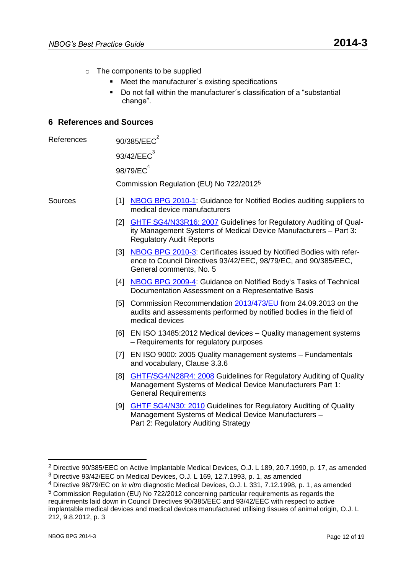- o The components to be supplied
	- Meet the manufacturer´s existing specifications
	- Do not fall within the manufacturer´s classification of a "substantial change".

# **6 References and Sources**

| 90/385/EEC <sup>2</sup> |
|-------------------------|
|                         |

 $93/42/EEC<sup>3</sup>$ 

 $98/79/FC<sup>4</sup>$ 

Commission Regulation (EU) No 722/2012<sup>5</sup>

- Sources [1] [NBOG BPG 2010-1:](http://www.nbog.eu/resources/NBOG_BPG_2010_1.pdf) Guidance for Notified Bodies auditing suppliers to medical device manufacturers
	- [2] [GHTF SG4/N33R16: 2007](http://www.imdrf.org/docs/ghtf/final/sg4/technical-docs/ghtf-sg4-n33r16-quality-management-systems-part-3-071002.pdf) Guidelines for Regulatory Auditing of Quality Management Systems of Medical Device Manufacturers – Part 3: Regulatory Audit Reports
	- [3] [NBOG BPG 2010-3:](http://www.nbog.eu/resources/NBOG_BPG_2010_3.pdf) Certificates issued by Notified Bodies with reference to Council Directives 93/42/EEC, 98/79/EC, and 90/385/EEC, General comments, No. 5
	- [4] [NBOG BPG 2009-4:](http://www.nbog.eu/resources/NBOG_BPG_2009_4_EN.pdf) Guidance on Notified Body's Tasks of Technical Documentation Assessment on a Representative Basis
	- [5] Commission Recommendation [2013/473/EU](http://eur-lex.europa.eu/LexUriServ/LexUriServ.do?uri=OJ:L:2013:253:0027:0035:EN:PDF) from 24.09.2013 on the audits and assessments performed by notified bodies in the field of medical devices
	- [6] EN ISO 13485:2012 Medical devices Quality management systems – Requirements for regulatory purposes
	- [7] EN ISO 9000: 2005 Quality management systems Fundamentals and vocabulary, Clause 3.3.6
	- [8] [GHTF/SG4/N28R4: 2008](http://www.imdrf.org/docs/ghtf/final/sg4/technical-docs/ghtf-sg4-guidelines-auditing-qms-part-1-general-requirements-080827.pdf) Guidelines for Regulatory Auditing of Quality Management Systems of Medical Device Manufacturers Part 1: General Requirements
	- [9] [GHTF SG4/N30: 2010](http://www.imdrf.org/docs/ghtf/final/sg4/technical-docs/ghtf-sg4-n30-guidelines-for-regulatory-auditing-part2.pdf) Guidelines for Regulatory Auditing of Quality Management Systems of Medical Device Manufacturers – Part 2: Regulatory Auditing Strategy

<sup>2</sup> Directive 90/385/EEC on Active Implantable Medical Devices, O.J. L 189, 20.7.1990, p. 17, as amended

<sup>3</sup> Directive 93/42/EEC on Medical Devices, O.J. L 169, 12.7.1993, p. 1, as amended

<sup>4</sup> Directive 98/79/EC on *in vitro* diagnostic Medical Devices, O.J. L 331, 7.12.1998, p. 1, as amended

 $5$  Commission Regulation (EU) No 722/2012 concerning particular requirements as regards the requirements laid down in Council Directives 90/385/EEC and 93/42/EEC with respect to active implantable medical devices and medical devices manufactured utilising tissues of animal origin, O.J. L 212, 9.8.2012, p. 3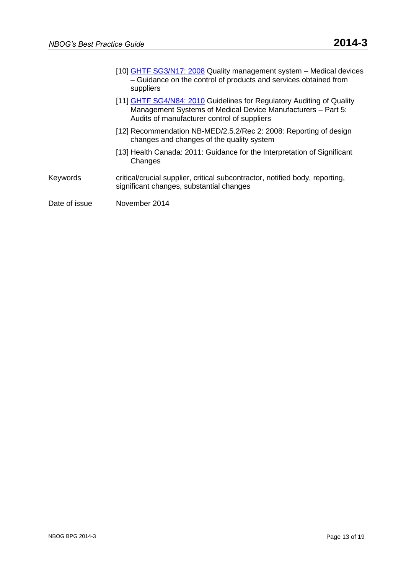- [10] [GHTF SG3/N17:](http://www.imdrf.org/docs/ghtf/final/sg3/technical-docs/ghtf-sg3-n17-guidance-on-quality-management-system-081211.pdf) 2008 Quality management system Medical devices – Guidance on the control of products and services obtained from suppliers
- [11] [GHTF SG4/N84: 2010](http://www.imdrf.org/docs/ghtf/final/sg4/technical-docs/ghtf-sg4-n84-2010-guidelines-for-auditing-qms-part-5-control-of-suppliers-100827.pdf) Guidelines for Regulatory Auditing of Quality Management Systems of Medical Device Manufacturers – Part 5: Audits of manufacturer control of suppliers
- [12] [Recommendation NB-MED/2.5.2/Rec 2:](http://www.team-nb.org/documents/2011/Approved_NB-MED_2_5_2_rec_2_november_2008.pdf) 2008: Reporting of design changes and changes of the quality system
- [13] [Health Canada:](http://www.hc-sc.gc.ca/dhp-mps/alt_formats/pdf/md-im/applic-demande/guide-ld/signchng_modimportante-eng.pdf) 2011: Guidance for the Interpretation of Significant **Changes**
- Keywords critical/crucial supplier, critical subcontractor, notified body, reporting, significant changes, substantial changes
- Date of issue Movember 2014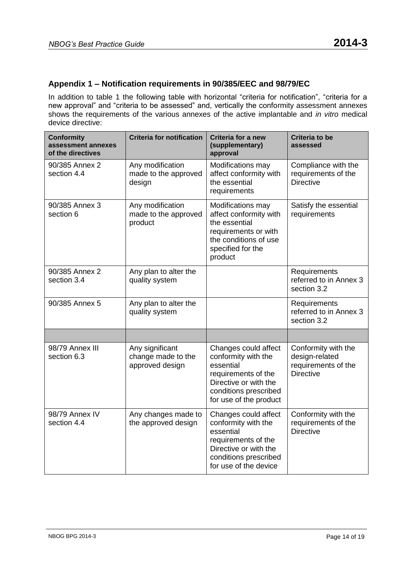# **Appendix 1 – Notification requirements in 90/385/EEC and 98/79/EC**

In addition to table 1 the following table with horizontal "criteria for notification", "criteria for a new approval" and "criteria to be assessed" and, vertically the conformity assessment annexes shows the requirements of the various annexes of the active implantable and *in vitro* medical device directive:

| <b>Conformity</b><br>assessment annexes<br>of the directives | <b>Criteria for notification</b>                         | Criteria for a new<br>(supplementary)<br>approval                                                                                                           | <b>Criteria to be</b><br>assessed                                                |
|--------------------------------------------------------------|----------------------------------------------------------|-------------------------------------------------------------------------------------------------------------------------------------------------------------|----------------------------------------------------------------------------------|
| 90/385 Annex 2<br>section 4.4                                | Any modification<br>made to the approved<br>design       | Modifications may<br>affect conformity with<br>the essential<br>requirements                                                                                | Compliance with the<br>requirements of the<br><b>Directive</b>                   |
| 90/385 Annex 3<br>section 6                                  | Any modification<br>made to the approved<br>product      | Modifications may<br>affect conformity with<br>the essential<br>requirements or with<br>the conditions of use<br>specified for the<br>product               | Satisfy the essential<br>requirements                                            |
| 90/385 Annex 2<br>section 3.4                                | Any plan to alter the<br>quality system                  |                                                                                                                                                             | Requirements<br>referred to in Annex 3<br>section 3.2                            |
| 90/385 Annex 5                                               | Any plan to alter the<br>quality system                  |                                                                                                                                                             | Requirements<br>referred to in Annex 3<br>section 3.2                            |
|                                                              |                                                          |                                                                                                                                                             |                                                                                  |
| 98/79 Annex III<br>section 6.3                               | Any significant<br>change made to the<br>approved design | Changes could affect<br>conformity with the<br>essential<br>requirements of the<br>Directive or with the<br>conditions prescribed<br>for use of the product | Conformity with the<br>design-related<br>requirements of the<br><b>Directive</b> |
| 98/79 Annex IV<br>section 4.4                                | Any changes made to<br>the approved design               | Changes could affect<br>conformity with the<br>essential<br>requirements of the<br>Directive or with the<br>conditions prescribed<br>for use of the device  | Conformity with the<br>requirements of the<br><b>Directive</b>                   |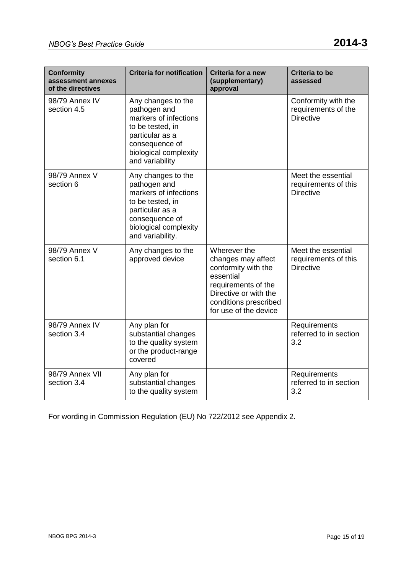| <b>Conformity</b><br>assessment annexes<br>of the directives | <b>Criteria for notification</b>                                                                                                                                  | Criteria for a new<br>(supplementary)<br>approval                                                                                                                        | <b>Criteria to be</b><br>assessed                              |
|--------------------------------------------------------------|-------------------------------------------------------------------------------------------------------------------------------------------------------------------|--------------------------------------------------------------------------------------------------------------------------------------------------------------------------|----------------------------------------------------------------|
| 98/79 Annex IV<br>section 4.5                                | Any changes to the<br>pathogen and<br>markers of infections<br>to be tested, in<br>particular as a<br>consequence of<br>biological complexity<br>and variability  |                                                                                                                                                                          | Conformity with the<br>requirements of the<br><b>Directive</b> |
| 98/79 Annex V<br>section 6                                   | Any changes to the<br>pathogen and<br>markers of infections<br>to be tested, in<br>particular as a<br>consequence of<br>biological complexity<br>and variability. |                                                                                                                                                                          | Meet the essential<br>requirements of this<br><b>Directive</b> |
| 98/79 Annex V<br>section 6.1                                 | Any changes to the<br>approved device                                                                                                                             | Wherever the<br>changes may affect<br>conformity with the<br>essential<br>requirements of the<br>Directive or with the<br>conditions prescribed<br>for use of the device | Meet the essential<br>requirements of this<br><b>Directive</b> |
| 98/79 Annex IV<br>section 3.4                                | Any plan for<br>substantial changes<br>to the quality system<br>or the product-range<br>covered                                                                   |                                                                                                                                                                          | Requirements<br>referred to in section<br>3.2                  |
| 98/79 Annex VII<br>section 3.4                               | Any plan for<br>substantial changes<br>to the quality system                                                                                                      |                                                                                                                                                                          | Requirements<br>referred to in section<br>3.2                  |

For wording in Commission Regulation (EU) No 722/2012 see Appendix 2.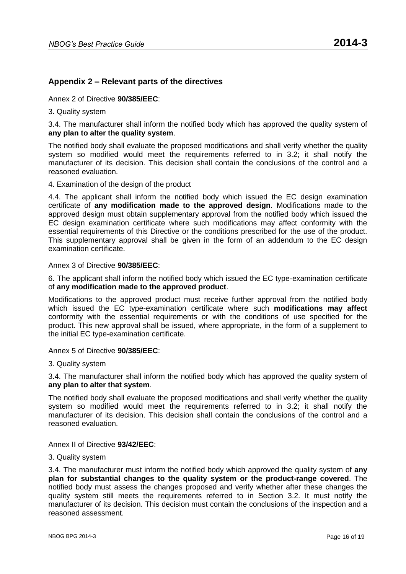# **Appendix 2 – Relevant parts of the directives**

Annex 2 of Directive **90/385/EEC**:

3. Quality system

3.4. The manufacturer shall inform the notified body which has approved the quality system of **any plan to alter the quality system**.

The notified body shall evaluate the proposed modifications and shall verify whether the quality system so modified would meet the requirements referred to in 3.2; it shall notify the manufacturer of its decision. This decision shall contain the conclusions of the control and a reasoned evaluation.

4. Examination of the design of the product

4.4. The applicant shall inform the notified body which issued the EC design examination certificate of **any modification made to the approved design**. Modifications made to the approved design must obtain supplementary approval from the notified body which issued the EC design examination certificate where such modifications may affect conformity with the essential requirements of this Directive or the conditions prescribed for the use of the product. This supplementary approval shall be given in the form of an addendum to the EC design examination certificate.

Annex 3 of Directive **90/385/EEC**:

6. The applicant shall inform the notified body which issued the EC type-examination certificate of **any modification made to the approved product**.

Modifications to the approved product must receive further approval from the notified body which issued the EC type-examination certificate where such **modifications may affect** conformity with the essential requirements or with the conditions of use specified for the product. This new approval shall be issued, where appropriate, in the form of a supplement to the initial EC type-examination certificate.

Annex 5 of Directive **90/385/EEC**:

3. Quality system

3.4. The manufacturer shall inform the notified body which has approved the quality system of **any plan to alter that system**.

The notified body shall evaluate the proposed modifications and shall verify whether the quality system so modified would meet the requirements referred to in 3.2; it shall notify the manufacturer of its decision. This decision shall contain the conclusions of the control and a reasoned evaluation.

Annex II of Directive **93/42/EEC**:

### 3. Quality system

3.4. The manufacturer must inform the notified body which approved the quality system of **any plan for substantial changes to the quality system or the product-range covered**. The notified body must assess the changes proposed and verify whether after these changes the quality system still meets the requirements referred to in Section 3.2. It must notify the manufacturer of its decision. This decision must contain the conclusions of the inspection and a reasoned assessment.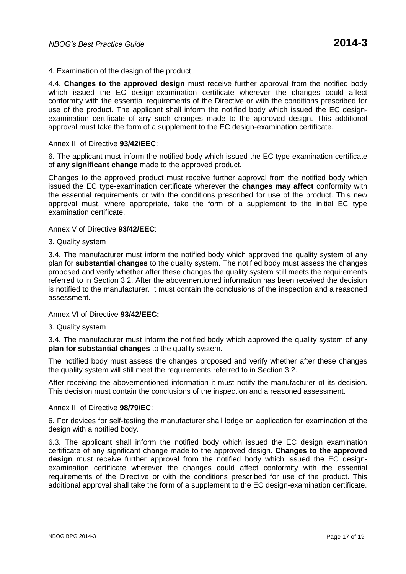# 4. Examination of the design of the product

4.4. **Changes to the approved design** must receive further approval from the notified body which issued the EC design-examination certificate wherever the changes could affect conformity with the essential requirements of the Directive or with the conditions prescribed for use of the product. The applicant shall inform the notified body which issued the EC designexamination certificate of any such changes made to the approved design. This additional approval must take the form of a supplement to the EC design-examination certificate.

### Annex III of Directive **93/42/EEC**:

6. The applicant must inform the notified body which issued the EC type examination certificate of **any significant change** made to the approved product.

Changes to the approved product must receive further approval from the notified body which issued the EC type-examination certificate wherever the **changes may affect** conformity with the essential requirements or with the conditions prescribed for use of the product. This new approval must, where appropriate, take the form of a supplement to the initial EC type examination certificate.

Annex V of Directive **93/42/EEC**:

### 3. Quality system

3.4. The manufacturer must inform the notified body which approved the quality system of any plan for **substantial changes** to the quality system. The notified body must assess the changes proposed and verify whether after these changes the quality system still meets the requirements referred to in Section 3.2. After the abovementioned information has been received the decision is notified to the manufacturer. It must contain the conclusions of the inspection and a reasoned assessment.

Annex VI of Directive **93/42/EEC:**

# 3. Quality system

3.4. The manufacturer must inform the notified body which approved the quality system of **any plan for substantial changes** to the quality system.

The notified body must assess the changes proposed and verify whether after these changes the quality system will still meet the requirements referred to in Section 3.2.

After receiving the abovementioned information it must notify the manufacturer of its decision. This decision must contain the conclusions of the inspection and a reasoned assessment.

### Annex III of Directive **98/79/EC**:

6. For devices for self-testing the manufacturer shall lodge an application for examination of the design with a notified body.

6.3. The applicant shall inform the notified body which issued the EC design examination certificate of any significant change made to the approved design. **Changes to the approved design** must receive further approval from the notified body which issued the EC designexamination certificate wherever the changes could affect conformity with the essential requirements of the Directive or with the conditions prescribed for use of the product. This additional approval shall take the form of a supplement to the EC design-examination certificate.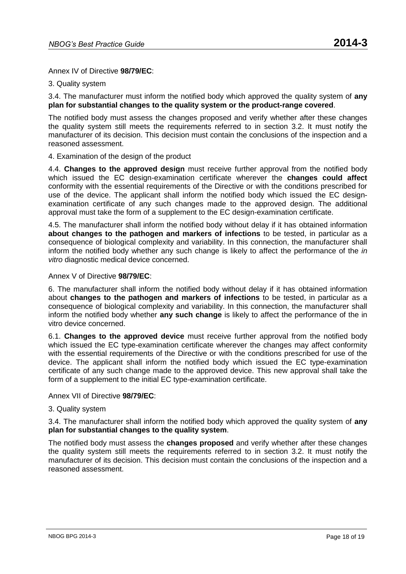Annex IV of Directive **98/79/EC**:

### 3. Quality system

3.4. The manufacturer must inform the notified body which approved the quality system of **any plan for substantial changes to the quality system or the product-range covered**.

The notified body must assess the changes proposed and verify whether after these changes the quality system still meets the requirements referred to in section 3.2. It must notify the manufacturer of its decision. This decision must contain the conclusions of the inspection and a reasoned assessment.

### 4. Examination of the design of the product

4.4. **Changes to the approved design** must receive further approval from the notified body which issued the EC design-examination certificate wherever the **changes could affect** conformity with the essential requirements of the Directive or with the conditions prescribed for use of the device. The applicant shall inform the notified body which issued the EC designexamination certificate of any such changes made to the approved design. The additional approval must take the form of a supplement to the EC design-examination certificate.

4.5. The manufacturer shall inform the notified body without delay if it has obtained information **about changes to the pathogen and markers of infections** to be tested, in particular as a consequence of biological complexity and variability. In this connection, the manufacturer shall inform the notified body whether any such change is likely to affect the performance of the *in vitro* diagnostic medical device concerned.

Annex V of Directive **98/79/EC**:

6. The manufacturer shall inform the notified body without delay if it has obtained information about **changes to the pathogen and markers of infections** to be tested, in particular as a consequence of biological complexity and variability. In this connection, the manufacturer shall inform the notified body whether **any such change** is likely to affect the performance of the in vitro device concerned.

6.1. **Changes to the approved device** must receive further approval from the notified body which issued the EC type-examination certificate wherever the changes may affect conformity with the essential requirements of the Directive or with the conditions prescribed for use of the device. The applicant shall inform the notified body which issued the EC type-examination certificate of any such change made to the approved device. This new approval shall take the form of a supplement to the initial EC type-examination certificate.

Annex VII of Directive **98/79/EC**:

# 3. Quality system

3.4. The manufacturer shall inform the notified body which approved the quality system of **any plan for substantial changes to the quality system**.

The notified body must assess the **changes proposed** and verify whether after these changes the quality system still meets the requirements referred to in section 3.2. It must notify the manufacturer of its decision. This decision must contain the conclusions of the inspection and a reasoned assessment.